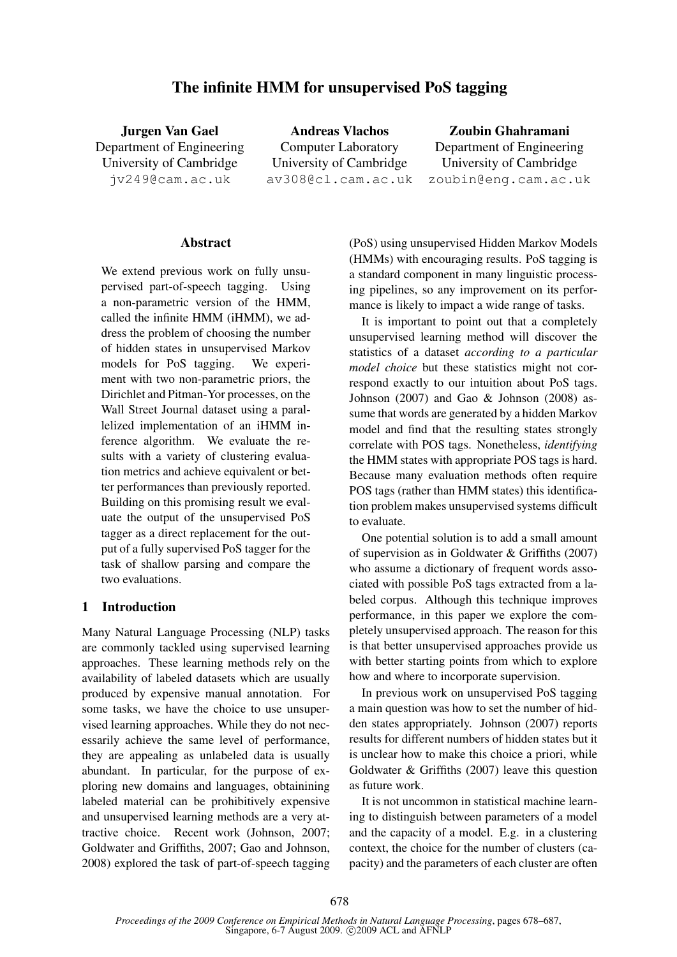# The infinite HMM for unsupervised PoS tagging

Jurgen Van Gael Department of Engineering University of Cambridge jv249@cam.ac.uk

Andreas Vlachos Computer Laboratory University of Cambridge av308@cl.cam.ac.uk

Zoubin Ghahramani Department of Engineering University of Cambridge zoubin@eng.cam.ac.uk

#### Abstract

We extend previous work on fully unsupervised part-of-speech tagging. Using a non-parametric version of the HMM, called the infinite HMM (iHMM), we address the problem of choosing the number of hidden states in unsupervised Markov models for PoS tagging. We experiment with two non-parametric priors, the Dirichlet and Pitman-Yor processes, on the Wall Street Journal dataset using a parallelized implementation of an iHMM inference algorithm. We evaluate the results with a variety of clustering evaluation metrics and achieve equivalent or better performances than previously reported. Building on this promising result we evaluate the output of the unsupervised PoS tagger as a direct replacement for the output of a fully supervised PoS tagger for the task of shallow parsing and compare the two evaluations.

### 1 Introduction

Many Natural Language Processing (NLP) tasks are commonly tackled using supervised learning approaches. These learning methods rely on the availability of labeled datasets which are usually produced by expensive manual annotation. For some tasks, we have the choice to use unsupervised learning approaches. While they do not necessarily achieve the same level of performance, they are appealing as unlabeled data is usually abundant. In particular, for the purpose of exploring new domains and languages, obtainining labeled material can be prohibitively expensive and unsupervised learning methods are a very attractive choice. Recent work (Johnson, 2007; Goldwater and Griffiths, 2007; Gao and Johnson, 2008) explored the task of part-of-speech tagging (PoS) using unsupervised Hidden Markov Models (HMMs) with encouraging results. PoS tagging is a standard component in many linguistic processing pipelines, so any improvement on its performance is likely to impact a wide range of tasks.

It is important to point out that a completely unsupervised learning method will discover the statistics of a dataset *according to a particular model choice* but these statistics might not correspond exactly to our intuition about PoS tags. Johnson (2007) and Gao & Johnson (2008) assume that words are generated by a hidden Markov model and find that the resulting states strongly correlate with POS tags. Nonetheless, *identifying* the HMM states with appropriate POS tags is hard. Because many evaluation methods often require POS tags (rather than HMM states) this identification problem makes unsupervised systems difficult to evaluate.

One potential solution is to add a small amount of supervision as in Goldwater & Griffiths (2007) who assume a dictionary of frequent words associated with possible PoS tags extracted from a labeled corpus. Although this technique improves performance, in this paper we explore the completely unsupervised approach. The reason for this is that better unsupervised approaches provide us with better starting points from which to explore how and where to incorporate supervision.

In previous work on unsupervised PoS tagging a main question was how to set the number of hidden states appropriately. Johnson (2007) reports results for different numbers of hidden states but it is unclear how to make this choice a priori, while Goldwater & Griffiths (2007) leave this question as future work.

It is not uncommon in statistical machine learning to distinguish between parameters of a model and the capacity of a model. E.g. in a clustering context, the choice for the number of clusters (capacity) and the parameters of each cluster are often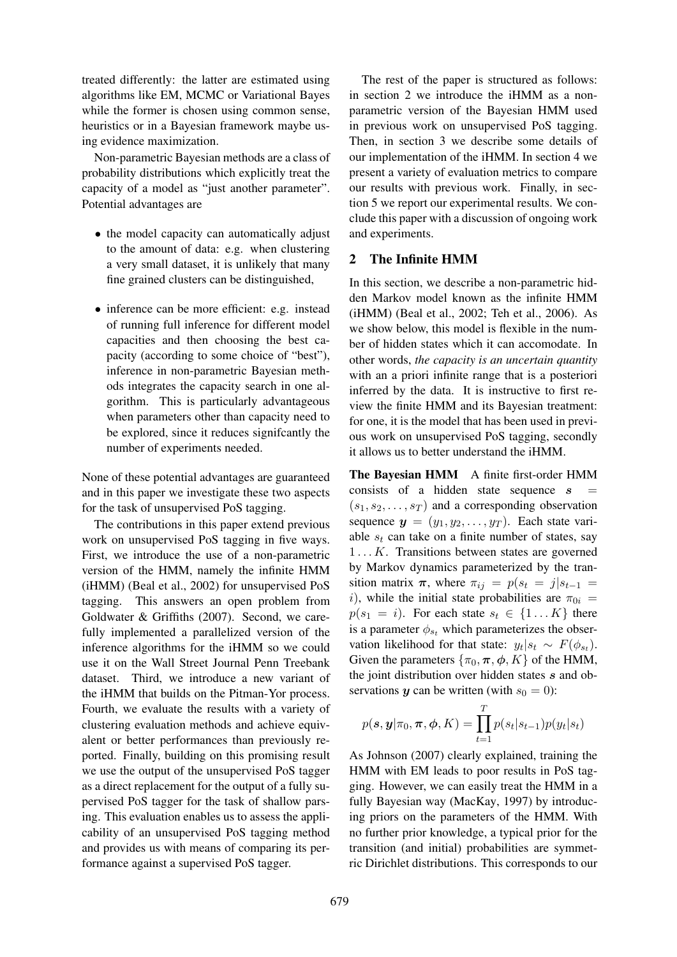treated differently: the latter are estimated using algorithms like EM, MCMC or Variational Bayes while the former is chosen using common sense, heuristics or in a Bayesian framework maybe using evidence maximization.

Non-parametric Bayesian methods are a class of probability distributions which explicitly treat the capacity of a model as "just another parameter". Potential advantages are

- the model capacity can automatically adjust to the amount of data: e.g. when clustering a very small dataset, it is unlikely that many fine grained clusters can be distinguished,
- inference can be more efficient: e.g. instead of running full inference for different model capacities and then choosing the best capacity (according to some choice of "best"), inference in non-parametric Bayesian methods integrates the capacity search in one algorithm. This is particularly advantageous when parameters other than capacity need to be explored, since it reduces signifcantly the number of experiments needed.

None of these potential advantages are guaranteed and in this paper we investigate these two aspects for the task of unsupervised PoS tagging.

The contributions in this paper extend previous work on unsupervised PoS tagging in five ways. First, we introduce the use of a non-parametric version of the HMM, namely the infinite HMM (iHMM) (Beal et al., 2002) for unsupervised PoS tagging. This answers an open problem from Goldwater & Griffiths (2007). Second, we carefully implemented a parallelized version of the inference algorithms for the iHMM so we could use it on the Wall Street Journal Penn Treebank dataset. Third, we introduce a new variant of the iHMM that builds on the Pitman-Yor process. Fourth, we evaluate the results with a variety of clustering evaluation methods and achieve equivalent or better performances than previously reported. Finally, building on this promising result we use the output of the unsupervised PoS tagger as a direct replacement for the output of a fully supervised PoS tagger for the task of shallow parsing. This evaluation enables us to assess the applicability of an unsupervised PoS tagging method and provides us with means of comparing its performance against a supervised PoS tagger.

The rest of the paper is structured as follows: in section 2 we introduce the iHMM as a nonparametric version of the Bayesian HMM used in previous work on unsupervised PoS tagging. Then, in section 3 we describe some details of our implementation of the iHMM. In section 4 we present a variety of evaluation metrics to compare our results with previous work. Finally, in section 5 we report our experimental results. We conclude this paper with a discussion of ongoing work and experiments.

# 2 The Infinite HMM

In this section, we describe a non-parametric hidden Markov model known as the infinite HMM (iHMM) (Beal et al., 2002; Teh et al., 2006). As we show below, this model is flexible in the number of hidden states which it can accomodate. In other words, *the capacity is an uncertain quantity* with an a priori infinite range that is a posteriori inferred by the data. It is instructive to first review the finite HMM and its Bayesian treatment: for one, it is the model that has been used in previous work on unsupervised PoS tagging, secondly it allows us to better understand the iHMM.

The Bayesian HMM A finite first-order HMM consists of a hidden state sequence  $s$  $(s_1, s_2, \ldots, s_T)$  and a corresponding observation sequence  $y = (y_1, y_2, \dots, y_T)$ . Each state variable  $s_t$  can take on a finite number of states, say  $1 \ldots K$ . Transitions between states are governed by Markov dynamics parameterized by the transition matrix  $\pi$ , where  $\pi_{ij} = p(s_t = j | s_{t-1})$ i), while the initial state probabilities are  $\pi_{0i}$  =  $p(s_1 = i)$ . For each state  $s_t \in \{1...K\}$  there is a parameter  $\phi_{s_t}$  which parameterizes the observation likelihood for that state:  $y_t | s_t \sim F(\phi_{s_t})$ . Given the parameters  $\{\pi_0, \pi, \phi, K\}$  of the HMM, the joint distribution over hidden states s and observations y can be written (with  $s_0 = 0$ ):

$$
p(\mathbf{s}, \mathbf{y} | \pi_0, \boldsymbol{\pi}, \boldsymbol{\phi}, K) = \prod_{t=1}^T p(s_t | s_{t-1}) p(y_t | s_t)
$$

As Johnson (2007) clearly explained, training the HMM with EM leads to poor results in PoS tagging. However, we can easily treat the HMM in a fully Bayesian way (MacKay, 1997) by introducing priors on the parameters of the HMM. With no further prior knowledge, a typical prior for the transition (and initial) probabilities are symmetric Dirichlet distributions. This corresponds to our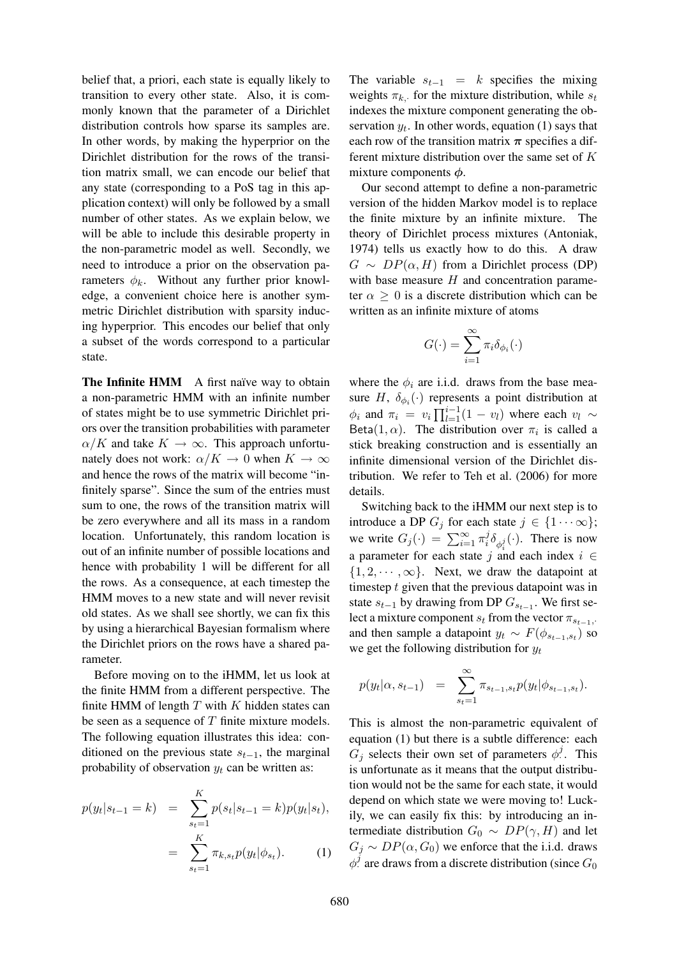belief that, a priori, each state is equally likely to transition to every other state. Also, it is commonly known that the parameter of a Dirichlet distribution controls how sparse its samples are. In other words, by making the hyperprior on the Dirichlet distribution for the rows of the transition matrix small, we can encode our belief that any state (corresponding to a PoS tag in this application context) will only be followed by a small number of other states. As we explain below, we will be able to include this desirable property in the non-parametric model as well. Secondly, we need to introduce a prior on the observation parameters  $\phi_k$ . Without any further prior knowledge, a convenient choice here is another symmetric Dirichlet distribution with sparsity inducing hyperprior. This encodes our belief that only a subset of the words correspond to a particular state.

The Infinite HMM A first naïve way to obtain a non-parametric HMM with an infinite number of states might be to use symmetric Dirichlet priors over the transition probabilities with parameter  $\alpha/K$  and take  $K \to \infty$ . This approach unfortunately does not work:  $\alpha/K \to 0$  when  $K \to \infty$ and hence the rows of the matrix will become "infinitely sparse". Since the sum of the entries must sum to one, the rows of the transition matrix will be zero everywhere and all its mass in a random location. Unfortunately, this random location is out of an infinite number of possible locations and hence with probability 1 will be different for all the rows. As a consequence, at each timestep the HMM moves to a new state and will never revisit old states. As we shall see shortly, we can fix this by using a hierarchical Bayesian formalism where the Dirichlet priors on the rows have a shared parameter.

Before moving on to the iHMM, let us look at the finite HMM from a different perspective. The finite HMM of length  $T$  with  $K$  hidden states can be seen as a sequence of  $T$  finite mixture models. The following equation illustrates this idea: conditioned on the previous state  $s_{t-1}$ , the marginal probability of observation  $y_t$  can be written as:

$$
p(y_t|s_{t-1} = k) = \sum_{s_t=1}^{K} p(s_t|s_{t-1} = k)p(y_t|s_t),
$$

$$
= \sum_{s_t=1}^{K} \pi_{k, s_t} p(y_t|\phi_{s_t}). \tag{1}
$$

The variable  $s_{t-1} = k$  specifies the mixing weights  $\pi_{k}$ , for the mixture distribution, while  $s_t$ indexes the mixture component generating the observation  $y_t$ . In other words, equation (1) says that each row of the transition matrix  $\pi$  specifies a different mixture distribution over the same set of K mixture components  $\phi$ .

Our second attempt to define a non-parametric version of the hidden Markov model is to replace the finite mixture by an infinite mixture. The theory of Dirichlet process mixtures (Antoniak, 1974) tells us exactly how to do this. A draw  $G \sim DP(\alpha, H)$  from a Dirichlet process (DP) with base measure  $H$  and concentration parameter  $\alpha > 0$  is a discrete distribution which can be written as an infinite mixture of atoms

$$
G(\cdot) = \sum_{i=1}^{\infty} \pi_i \delta_{\phi_i}(\cdot)
$$

where the  $\phi_i$  are i.i.d. draws from the base measure H,  $\delta_{\phi_i}(\cdot)$  represents a point distribution at  $\phi_i$  and  $\pi_i = v_i \prod_{l=1}^{i-1} (1 - v_l)$  where each  $v_l \sim$ Beta(1,  $\alpha$ ). The distribution over  $\pi_i$  is called a stick breaking construction and is essentially an infinite dimensional version of the Dirichlet distribution. We refer to Teh et al. (2006) for more details.

Switching back to the iHMM our next step is to introduce a DP  $G_j$  for each state  $j \in \{1 \cdots \infty\}$ ; we write  $G_j(\cdot) = \sum_{i=1}^{\infty} \pi_i^j$  $i^j \delta_{\phi_i^j}(\cdot)$ . There is now a parameter for each state j and each index  $i \in$  $\{1, 2, \dots, \infty\}$ . Next, we draw the datapoint at timestep  $t$  given that the previous datapoint was in state  $s_{t-1}$  by drawing from DP  $G_{s_{t-1}}$ . We first select a mixture component  $s_t$  from the vector  $\pi_{s_{t-1}}$ . and then sample a datapoint  $y_t \sim F(\phi_{s_{t-1}, s_t})$  so we get the following distribution for  $y_t$ 

$$
p(y_t|\alpha, s_{t-1}) = \sum_{s_t=1}^{\infty} \pi_{s_{t-1}, s_t} p(y_t | \phi_{s_{t-1}, s_t}).
$$

This is almost the non-parametric equivalent of equation (1) but there is a subtle difference: each  $G_j$  selects their own set of parameters  $\phi^j$ .  $\cdot$  This is unfortunate as it means that the output distribution would not be the same for each state, it would depend on which state we were moving to! Luckily, we can easily fix this: by introducing an intermediate distribution  $G_0 \sim DP(\gamma, H)$  and let  $G_j \sim DP(\alpha, G_0)$  we enforce that the i.i.d. draws  $\phi^j$  are draws from a discrete distribution (since  $G_0$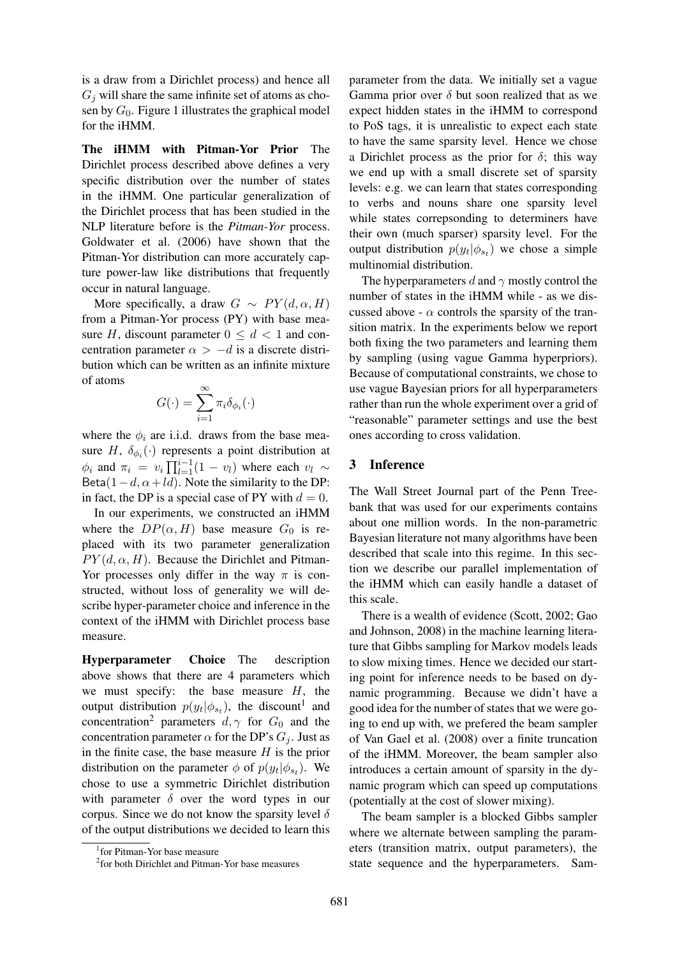is a draw from a Dirichlet process) and hence all  $G_i$  will share the same infinite set of atoms as chosen by  $G_0$ . Figure 1 illustrates the graphical model for the iHMM.

The iHMM with Pitman-Yor Prior The Dirichlet process described above defines a very specific distribution over the number of states in the iHMM. One particular generalization of the Dirichlet process that has been studied in the NLP literature before is the *Pitman-Yor* process. Goldwater et al. (2006) have shown that the Pitman-Yor distribution can more accurately capture power-law like distributions that frequently occur in natural language.

More specifically, a draw  $G \sim PY(d, \alpha, H)$ from a Pitman-Yor process (PY) with base measure H, discount parameter  $0 \le d < 1$  and concentration parameter  $\alpha > -d$  is a discrete distribution which can be written as an infinite mixture of atoms

$$
G(\cdot) = \sum_{i=1}^{\infty} \pi_i \delta_{\phi_i}(\cdot)
$$

where the  $\phi_i$  are i.i.d. draws from the base measure H,  $\delta_{\phi_i}(\cdot)$  represents a point distribution at  $\phi_i$  and  $\pi_i = v_i \prod_{l=1}^{i-1} (1 - v_l)$  where each  $v_l \sim$ Beta(1 – d,  $\alpha$  + ld). Note the similarity to the DP: in fact, the DP is a special case of PY with  $d = 0$ .

In our experiments, we constructed an iHMM where the  $DP(\alpha, H)$  base measure  $G_0$  is replaced with its two parameter generalization  $PY(d, \alpha, H)$ . Because the Dirichlet and Pitman-Yor processes only differ in the way  $\pi$  is constructed, without loss of generality we will describe hyper-parameter choice and inference in the context of the iHMM with Dirichlet process base measure.

Hyperparameter Choice The description above shows that there are 4 parameters which we must specify: the base measure  $H$ , the output distribution  $p(y_t | \phi_{s_t})$ , the discount<sup>1</sup> and concentration<sup>2</sup> parameters  $d, \gamma$  for  $G_0$  and the concentration parameter  $\alpha$  for the DP's  $G_i$ . Just as in the finite case, the base measure  $H$  is the prior distribution on the parameter  $\phi$  of  $p(y_t | \phi_{s_t})$ . We chose to use a symmetric Dirichlet distribution with parameter  $\delta$  over the word types in our corpus. Since we do not know the sparsity level  $\delta$ of the output distributions we decided to learn this parameter from the data. We initially set a vague Gamma prior over  $\delta$  but soon realized that as we expect hidden states in the iHMM to correspond to PoS tags, it is unrealistic to expect each state to have the same sparsity level. Hence we chose a Dirichlet process as the prior for  $\delta$ ; this way we end up with a small discrete set of sparsity levels: e.g. we can learn that states corresponding to verbs and nouns share one sparsity level while states correpsonding to determiners have their own (much sparser) sparsity level. For the output distribution  $p(y_t | \phi_{s_t})$  we chose a simple multinomial distribution.

The hyperparameters d and  $\gamma$  mostly control the number of states in the iHMM while - as we discussed above -  $\alpha$  controls the sparsity of the transition matrix. In the experiments below we report both fixing the two parameters and learning them by sampling (using vague Gamma hyperpriors). Because of computational constraints, we chose to use vague Bayesian priors for all hyperparameters rather than run the whole experiment over a grid of "reasonable" parameter settings and use the best ones according to cross validation.

#### 3 Inference

The Wall Street Journal part of the Penn Treebank that was used for our experiments contains about one million words. In the non-parametric Bayesian literature not many algorithms have been described that scale into this regime. In this section we describe our parallel implementation of the iHMM which can easily handle a dataset of this scale.

There is a wealth of evidence (Scott, 2002; Gao and Johnson, 2008) in the machine learning literature that Gibbs sampling for Markov models leads to slow mixing times. Hence we decided our starting point for inference needs to be based on dynamic programming. Because we didn't have a good idea for the number of states that we were going to end up with, we prefered the beam sampler of Van Gael et al. (2008) over a finite truncation of the iHMM. Moreover, the beam sampler also introduces a certain amount of sparsity in the dynamic program which can speed up computations (potentially at the cost of slower mixing).

The beam sampler is a blocked Gibbs sampler where we alternate between sampling the parameters (transition matrix, output parameters), the state sequence and the hyperparameters. Sam-

<sup>1</sup> for Pitman-Yor base measure

<sup>&</sup>lt;sup>2</sup> for both Dirichlet and Pitman-Yor base measures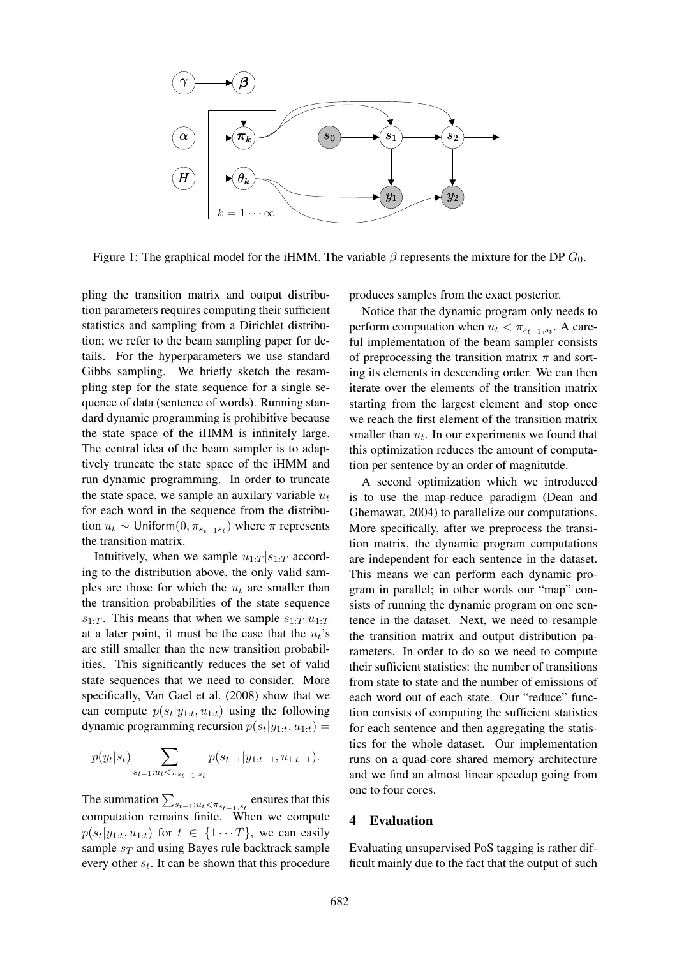

Figure 1: The graphical model for the iHMM. The variable  $\beta$  represents the mixture for the DP  $G_0$ .

pling the transition matrix and output distribution parameters requires computing their sufficient statistics and sampling from a Dirichlet distribution; we refer to the beam sampling paper for details. For the hyperparameters we use standard Gibbs sampling. We briefly sketch the resampling step for the state sequence for a single sequence of data (sentence of words). Running standard dynamic programming is prohibitive because the state space of the iHMM is infinitely large. The central idea of the beam sampler is to adaptively truncate the state space of the iHMM and run dynamic programming. In order to truncate the state space, we sample an auxilary variable  $u_t$ for each word in the sequence from the distribution  $u_t \sim$  Uniform $(0, \pi_{s_{t-1}s_t})$  where  $\pi$  represents the transition matrix.

Intuitively, when we sample  $u_1$ .  $T|s_1$ .  $T$  according to the distribution above, the only valid samples are those for which the  $u_t$  are smaller than the transition probabilities of the state sequence  $s_{1:T}$ . This means that when we sample  $s_{1:T} | u_{1:T}$ at a later point, it must be the case that the  $u_t$ 's are still smaller than the new transition probabilities. This significantly reduces the set of valid state sequences that we need to consider. More specifically, Van Gael et al. (2008) show that we can compute  $p(s_t|y_{1:t}, u_{1:t})$  using the following dynamic programming recursion  $p(s_t|y_{1:t}, u_{1:t}) =$ 

$$
p(y_t|s_t)\sum_{s_{t-1}:u_t<\pi_{s_{t-1},s_t}}p(s_{t-1}|y_{1:t-1},u_{1:t-1}).
$$

The summation  $\sum_{s_{t-1}:u_t < \pi_{s_{t-1},s_t}}$  ensures that this computation remains finite. When we compute  $p(s_t|y_{1:t}, u_{1:t})$  for  $t \in \{1 \cdots T\}$ , we can easily sample  $s_T$  and using Bayes rule backtrack sample every other  $s_t$ . It can be shown that this procedure produces samples from the exact posterior.

Notice that the dynamic program only needs to perform computation when  $u_t < \pi_{s_{t-1}, s_t}$ . A careful implementation of the beam sampler consists of preprocessing the transition matrix  $\pi$  and sorting its elements in descending order. We can then iterate over the elements of the transition matrix starting from the largest element and stop once we reach the first element of the transition matrix smaller than  $u_t$ . In our experiments we found that this optimization reduces the amount of computation per sentence by an order of magnitutde.

A second optimization which we introduced is to use the map-reduce paradigm (Dean and Ghemawat, 2004) to parallelize our computations. More specifically, after we preprocess the transition matrix, the dynamic program computations are independent for each sentence in the dataset. This means we can perform each dynamic program in parallel; in other words our "map" consists of running the dynamic program on one sentence in the dataset. Next, we need to resample the transition matrix and output distribution parameters. In order to do so we need to compute their sufficient statistics: the number of transitions from state to state and the number of emissions of each word out of each state. Our "reduce" function consists of computing the sufficient statistics for each sentence and then aggregating the statistics for the whole dataset. Our implementation runs on a quad-core shared memory architecture and we find an almost linear speedup going from one to four cores.

### 4 Evaluation

Evaluating unsupervised PoS tagging is rather difficult mainly due to the fact that the output of such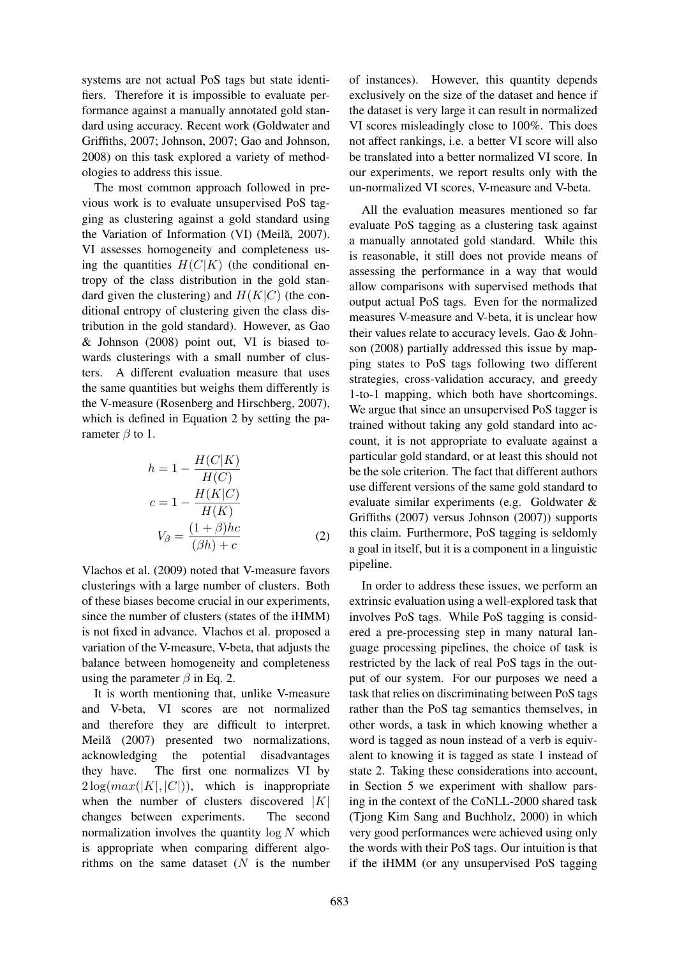systems are not actual PoS tags but state identifiers. Therefore it is impossible to evaluate performance against a manually annotated gold standard using accuracy. Recent work (Goldwater and Griffiths, 2007; Johnson, 2007; Gao and Johnson, 2008) on this task explored a variety of methodologies to address this issue.

The most common approach followed in previous work is to evaluate unsupervised PoS tagging as clustering against a gold standard using the Variation of Information (VI) (Meilă, 2007). VI assesses homogeneity and completeness using the quantities  $H(C|K)$  (the conditional entropy of the class distribution in the gold standard given the clustering) and  $H(K|C)$  (the conditional entropy of clustering given the class distribution in the gold standard). However, as Gao & Johnson (2008) point out, VI is biased towards clusterings with a small number of clusters. A different evaluation measure that uses the same quantities but weighs them differently is the V-measure (Rosenberg and Hirschberg, 2007), which is defined in Equation 2 by setting the parameter  $\beta$  to 1.

$$
h = 1 - \frac{H(C|K)}{H(C)}
$$
  
\n
$$
c = 1 - \frac{H(K|C)}{H(K)}
$$
  
\n
$$
V_{\beta} = \frac{(1+\beta)hc}{(\beta h) + c}
$$
 (2)

Vlachos et al. (2009) noted that V-measure favors clusterings with a large number of clusters. Both of these biases become crucial in our experiments, since the number of clusters (states of the iHMM) is not fixed in advance. Vlachos et al. proposed a variation of the V-measure, V-beta, that adjusts the balance between homogeneity and completeness using the parameter  $\beta$  in Eq. 2.

It is worth mentioning that, unlike V-measure and V-beta, VI scores are not normalized and therefore they are difficult to interpret. Meilă (2007) presented two normalizations, acknowledging the potential disadvantages they have. The first one normalizes VI by  $2 \log(max(|K|, |C|))$ , which is inappropriate when the number of clusters discovered  $|K|$ changes between experiments. The second normalization involves the quantity  $\log N$  which is appropriate when comparing different algorithms on the same dataset  $(N$  is the number

of instances). However, this quantity depends exclusively on the size of the dataset and hence if the dataset is very large it can result in normalized VI scores misleadingly close to 100%. This does not affect rankings, i.e. a better VI score will also be translated into a better normalized VI score. In our experiments, we report results only with the un-normalized VI scores, V-measure and V-beta.

All the evaluation measures mentioned so far evaluate PoS tagging as a clustering task against a manually annotated gold standard. While this is reasonable, it still does not provide means of assessing the performance in a way that would allow comparisons with supervised methods that output actual PoS tags. Even for the normalized measures V-measure and V-beta, it is unclear how their values relate to accuracy levels. Gao & Johnson (2008) partially addressed this issue by mapping states to PoS tags following two different strategies, cross-validation accuracy, and greedy 1-to-1 mapping, which both have shortcomings. We argue that since an unsupervised PoS tagger is trained without taking any gold standard into account, it is not appropriate to evaluate against a particular gold standard, or at least this should not be the sole criterion. The fact that different authors use different versions of the same gold standard to evaluate similar experiments (e.g. Goldwater & Griffiths (2007) versus Johnson (2007)) supports this claim. Furthermore, PoS tagging is seldomly a goal in itself, but it is a component in a linguistic pipeline.

In order to address these issues, we perform an extrinsic evaluation using a well-explored task that involves PoS tags. While PoS tagging is considered a pre-processing step in many natural language processing pipelines, the choice of task is restricted by the lack of real PoS tags in the output of our system. For our purposes we need a task that relies on discriminating between PoS tags rather than the PoS tag semantics themselves, in other words, a task in which knowing whether a word is tagged as noun instead of a verb is equivalent to knowing it is tagged as state 1 instead of state 2. Taking these considerations into account, in Section 5 we experiment with shallow parsing in the context of the CoNLL-2000 shared task (Tjong Kim Sang and Buchholz, 2000) in which very good performances were achieved using only the words with their PoS tags. Our intuition is that if the iHMM (or any unsupervised PoS tagging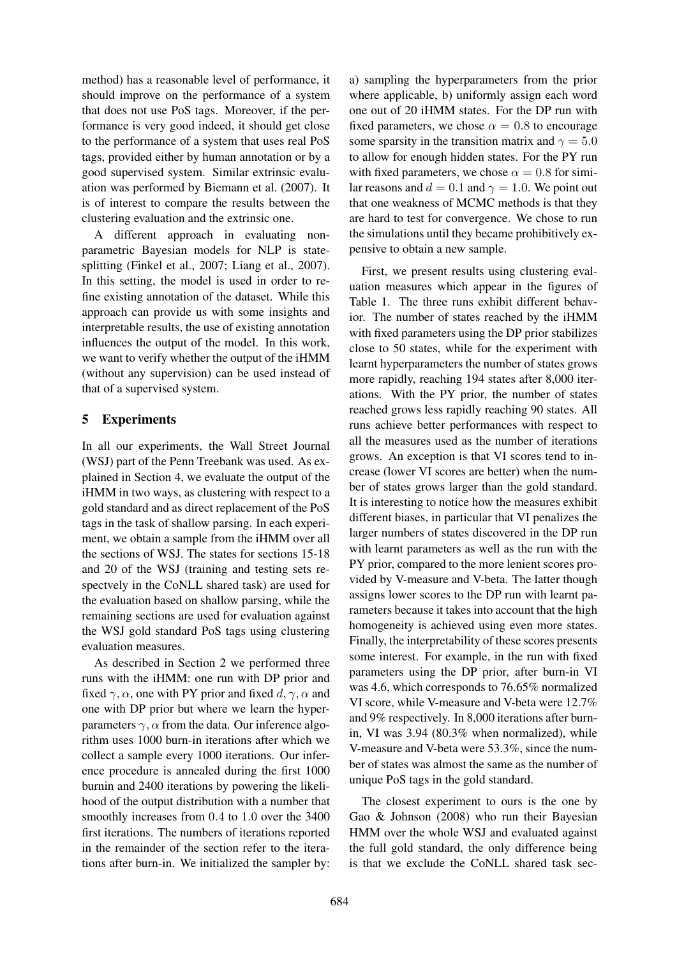method) has a reasonable level of performance, it should improve on the performance of a system that does not use PoS tags. Moreover, if the performance is very good indeed, it should get close to the performance of a system that uses real PoS tags, provided either by human annotation or by a good supervised system. Similar extrinsic evaluation was performed by Biemann et al. (2007). It is of interest to compare the results between the clustering evaluation and the extrinsic one.

A different approach in evaluating nonparametric Bayesian models for NLP is statesplitting (Finkel et al., 2007; Liang et al., 2007). In this setting, the model is used in order to refine existing annotation of the dataset. While this approach can provide us with some insights and interpretable results, the use of existing annotation influences the output of the model. In this work, we want to verify whether the output of the iHMM (without any supervision) can be used instead of that of a supervised system.

# 5 Experiments

In all our experiments, the Wall Street Journal (WSJ) part of the Penn Treebank was used. As explained in Section 4, we evaluate the output of the iHMM in two ways, as clustering with respect to a gold standard and as direct replacement of the PoS tags in the task of shallow parsing. In each experiment, we obtain a sample from the iHMM over all the sections of WSJ. The states for sections 15-18 and 20 of the WSJ (training and testing sets respectvely in the CoNLL shared task) are used for the evaluation based on shallow parsing, while the remaining sections are used for evaluation against the WSJ gold standard PoS tags using clustering evaluation measures.

As described in Section 2 we performed three runs with the iHMM: one run with DP prior and fixed  $\gamma$ ,  $\alpha$ , one with PY prior and fixed d,  $\gamma$ ,  $\alpha$  and one with DP prior but where we learn the hyperparameters  $\gamma$ ,  $\alpha$  from the data. Our inference algorithm uses 1000 burn-in iterations after which we collect a sample every 1000 iterations. Our inference procedure is annealed during the first 1000 burnin and 2400 iterations by powering the likelihood of the output distribution with a number that smoothly increases from 0.4 to 1.0 over the 3400 first iterations. The numbers of iterations reported in the remainder of the section refer to the iterations after burn-in. We initialized the sampler by:

a) sampling the hyperparameters from the prior where applicable, b) uniformly assign each word one out of 20 iHMM states. For the DP run with fixed parameters, we chose  $\alpha = 0.8$  to encourage some sparsity in the transition matrix and  $\gamma = 5.0$ to allow for enough hidden states. For the PY run with fixed parameters, we chose  $\alpha = 0.8$  for similar reasons and  $d = 0.1$  and  $\gamma = 1.0$ . We point out that one weakness of MCMC methods is that they are hard to test for convergence. We chose to run the simulations until they became prohibitively expensive to obtain a new sample.

First, we present results using clustering evaluation measures which appear in the figures of Table 1. The three runs exhibit different behavior. The number of states reached by the iHMM with fixed parameters using the DP prior stabilizes close to 50 states, while for the experiment with learnt hyperparameters the number of states grows more rapidly, reaching 194 states after 8,000 iterations. With the PY prior, the number of states reached grows less rapidly reaching 90 states. All runs achieve better performances with respect to all the measures used as the number of iterations grows. An exception is that VI scores tend to increase (lower VI scores are better) when the number of states grows larger than the gold standard. It is interesting to notice how the measures exhibit different biases, in particular that VI penalizes the larger numbers of states discovered in the DP run with learnt parameters as well as the run with the PY prior, compared to the more lenient scores provided by V-measure and V-beta. The latter though assigns lower scores to the DP run with learnt parameters because it takes into account that the high homogeneity is achieved using even more states. Finally, the interpretability of these scores presents some interest. For example, in the run with fixed parameters using the DP prior, after burn-in VI was 4.6, which corresponds to 76.65% normalized VI score, while V-measure and V-beta were 12.7% and 9% respectively. In 8,000 iterations after burnin, VI was 3.94 (80.3% when normalized), while V-measure and V-beta were 53.3%, since the number of states was almost the same as the number of unique PoS tags in the gold standard.

The closest experiment to ours is the one by Gao & Johnson (2008) who run their Bayesian HMM over the whole WSJ and evaluated against the full gold standard, the only difference being is that we exclude the CoNLL shared task sec-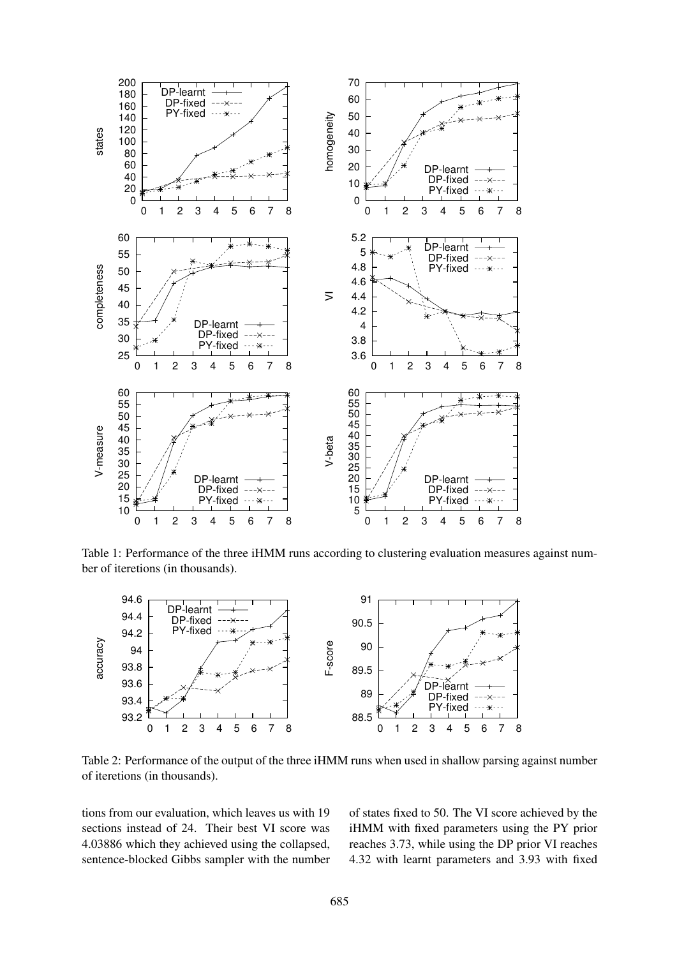

Table 1: Performance of the three iHMM runs according to clustering evaluation measures against number of iteretions (in thousands).



Table 2: Performance of the output of the three iHMM runs when used in shallow parsing against number of iteretions (in thousands).

tions from our evaluation, which leaves us with 19 sections instead of 24. Their best VI score was 4.03886 which they achieved using the collapsed, sentence-blocked Gibbs sampler with the number of states fixed to 50. The VI score achieved by the iHMM with fixed parameters using the PY prior reaches 3.73, while using the DP prior VI reaches 4.32 with learnt parameters and 3.93 with fixed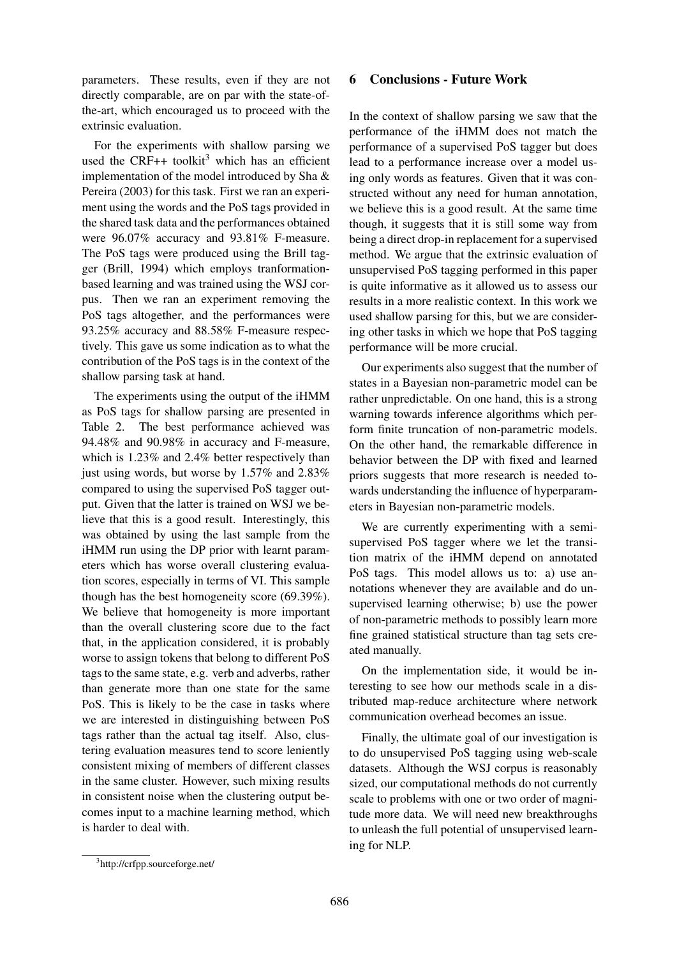parameters. These results, even if they are not directly comparable, are on par with the state-ofthe-art, which encouraged us to proceed with the extrinsic evaluation.

For the experiments with shallow parsing we used the CRF++ toolkit<sup>3</sup> which has an efficient implementation of the model introduced by Sha & Pereira (2003) for this task. First we ran an experiment using the words and the PoS tags provided in the shared task data and the performances obtained were 96.07% accuracy and 93.81% F-measure. The PoS tags were produced using the Brill tagger (Brill, 1994) which employs tranformationbased learning and was trained using the WSJ corpus. Then we ran an experiment removing the PoS tags altogether, and the performances were 93.25% accuracy and 88.58% F-measure respectively. This gave us some indication as to what the contribution of the PoS tags is in the context of the shallow parsing task at hand.

The experiments using the output of the iHMM as PoS tags for shallow parsing are presented in Table 2. The best performance achieved was 94.48% and 90.98% in accuracy and F-measure, which is 1.23% and 2.4% better respectively than just using words, but worse by 1.57% and 2.83% compared to using the supervised PoS tagger output. Given that the latter is trained on WSJ we believe that this is a good result. Interestingly, this was obtained by using the last sample from the iHMM run using the DP prior with learnt parameters which has worse overall clustering evaluation scores, especially in terms of VI. This sample though has the best homogeneity score (69.39%). We believe that homogeneity is more important than the overall clustering score due to the fact that, in the application considered, it is probably worse to assign tokens that belong to different PoS tags to the same state, e.g. verb and adverbs, rather than generate more than one state for the same PoS. This is likely to be the case in tasks where we are interested in distinguishing between PoS tags rather than the actual tag itself. Also, clustering evaluation measures tend to score leniently consistent mixing of members of different classes in the same cluster. However, such mixing results in consistent noise when the clustering output becomes input to a machine learning method, which is harder to deal with.

#### 6 Conclusions - Future Work

In the context of shallow parsing we saw that the performance of the iHMM does not match the performance of a supervised PoS tagger but does lead to a performance increase over a model using only words as features. Given that it was constructed without any need for human annotation, we believe this is a good result. At the same time though, it suggests that it is still some way from being a direct drop-in replacement for a supervised method. We argue that the extrinsic evaluation of unsupervised PoS tagging performed in this paper is quite informative as it allowed us to assess our results in a more realistic context. In this work we used shallow parsing for this, but we are considering other tasks in which we hope that PoS tagging performance will be more crucial.

Our experiments also suggest that the number of states in a Bayesian non-parametric model can be rather unpredictable. On one hand, this is a strong warning towards inference algorithms which perform finite truncation of non-parametric models. On the other hand, the remarkable difference in behavior between the DP with fixed and learned priors suggests that more research is needed towards understanding the influence of hyperparameters in Bayesian non-parametric models.

We are currently experimenting with a semisupervised PoS tagger where we let the transition matrix of the iHMM depend on annotated PoS tags. This model allows us to: a) use annotations whenever they are available and do unsupervised learning otherwise; b) use the power of non-parametric methods to possibly learn more fine grained statistical structure than tag sets created manually.

On the implementation side, it would be interesting to see how our methods scale in a distributed map-reduce architecture where network communication overhead becomes an issue.

Finally, the ultimate goal of our investigation is to do unsupervised PoS tagging using web-scale datasets. Although the WSJ corpus is reasonably sized, our computational methods do not currently scale to problems with one or two order of magnitude more data. We will need new breakthroughs to unleash the full potential of unsupervised learning for NLP.

<sup>3</sup> http://crfpp.sourceforge.net/